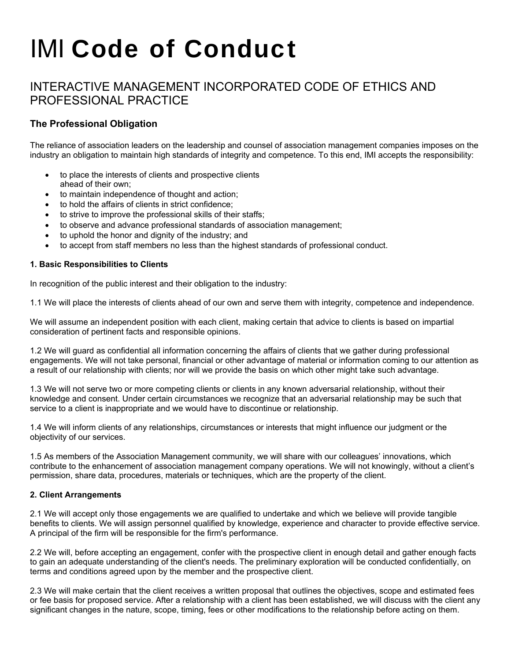# IMI Code of Conduct

# INTERACTIVE MANAGEMENT INCORPORATED CODE OF ETHICS AND PROFESSIONAL PRACTICE

## **The Professional Obligation**

The reliance of association leaders on the leadership and counsel of association management companies imposes on the industry an obligation to maintain high standards of integrity and competence. To this end, IMI accepts the responsibility:

- to place the interests of clients and prospective clients ahead of their own;
- to maintain independence of thought and action;
- to hold the affairs of clients in strict confidence;
- to strive to improve the professional skills of their staffs;
- to observe and advance professional standards of association management;
- to uphold the honor and dignity of the industry; and
- to accept from staff members no less than the highest standards of professional conduct.

#### **1. Basic Responsibilities to Clients**

In recognition of the public interest and their obligation to the industry:

1.1 We will place the interests of clients ahead of our own and serve them with integrity, competence and independence.

We will assume an independent position with each client, making certain that advice to clients is based on impartial consideration of pertinent facts and responsible opinions.

1.2 We will guard as confidential all information concerning the affairs of clients that we gather during professional engagements. We will not take personal, financial or other advantage of material or information coming to our attention as a result of our relationship with clients; nor will we provide the basis on which other might take such advantage.

1.3 We will not serve two or more competing clients or clients in any known adversarial relationship, without their knowledge and consent. Under certain circumstances we recognize that an adversarial relationship may be such that service to a client is inappropriate and we would have to discontinue or relationship.

1.4 We will inform clients of any relationships, circumstances or interests that might influence our judgment or the objectivity of our services.

1.5 As members of the Association Management community, we will share with our colleagues' innovations, which contribute to the enhancement of association management company operations. We will not knowingly, without a client's permission, share data, procedures, materials or techniques, which are the property of the client.

#### **2. Client Arrangements**

2.1 We will accept only those engagements we are qualified to undertake and which we believe will provide tangible benefits to clients. We will assign personnel qualified by knowledge, experience and character to provide effective service. A principal of the firm will be responsible for the firm's performance.

2.2 We will, before accepting an engagement, confer with the prospective client in enough detail and gather enough facts to gain an adequate understanding of the client's needs. The preliminary exploration will be conducted confidentially, on terms and conditions agreed upon by the member and the prospective client.

2.3 We will make certain that the client receives a written proposal that outlines the objectives, scope and estimated fees or fee basis for proposed service. After a relationship with a client has been established, we will discuss with the client any significant changes in the nature, scope, timing, fees or other modifications to the relationship before acting on them.